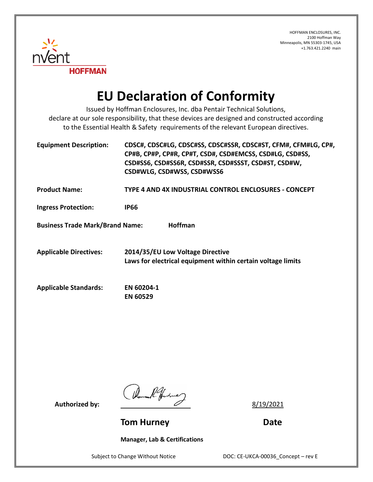

## **EU Declaration of Conformity**

Issued by Hoffman Enclosures, Inc. dba Pentair Technical Solutions, declare at our sole responsibility, that these devices are designed and constructed according to the Essential Health & Safety requirements of the relevant European directives.

| <b>Equipment Description:</b>                            | CDSC#, CDSC#LG, CDSC#SS, CDSC#SSR, CDSC#ST, CFM#, CFM#LG, CP#,<br>CP#B, CP#P, CP#R, CP#T, CSD#, CSD#EMCSS, CSD#LG, CSD#SS,<br>CSD#SS6, CSD#SS6R, CSD#SSR, CSD#SSST, CSD#ST, CSD#W,<br>CSD#WLG, CSD#WSS, CSD#WSS6 |
|----------------------------------------------------------|------------------------------------------------------------------------------------------------------------------------------------------------------------------------------------------------------------------|
| <b>Product Name:</b>                                     | TYPE 4 AND 4X INDUSTRIAL CONTROL ENCLOSURES - CONCEPT                                                                                                                                                            |
| <b>Ingress Protection:</b>                               | <b>IP66</b>                                                                                                                                                                                                      |
| <b>Business Trade Mark/Brand Name:</b><br><b>Hoffman</b> |                                                                                                                                                                                                                  |
| <b>Applicable Directives:</b>                            | 2014/35/EU Low Voltage Directive<br>Laws for electrical equipment within certain voltage limits                                                                                                                  |
| <b>Applicable Standards:</b>                             | EN 60204-1<br><b>EN 60529</b>                                                                                                                                                                                    |

Authorized by:  $\frac{1}{4}$   $\frac{1}{4}$   $\frac{1}{4}$   $\frac{1}{4}$   $\frac{8}{19/2021}$ 

**Tom Hurney Communication Communication Communication Date** 

**Manager, Lab & Certifications**

Subject to Change Without Notice DOC: CE-UKCA-00036\_Concept – rev E